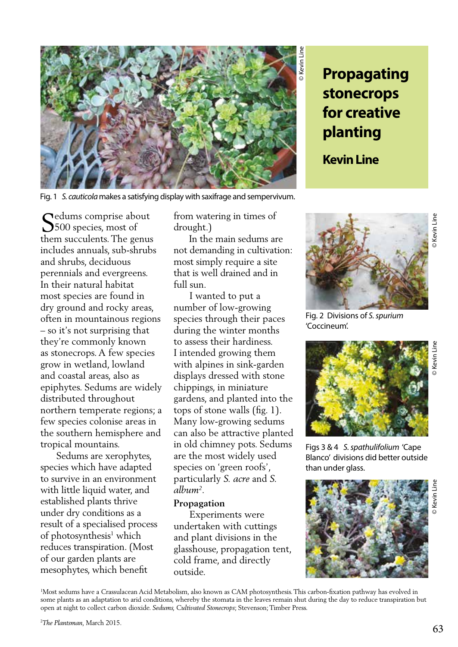

**Propagating stonecrops for creative planting**

**Kevin Line** 

Fig. 1 *S. cauticola* makes a satisfying display with saxifrage and sempervivum.

Sedums comprise about<br>5500 species, most of **J**500 species, most of them succulents. The genus includes annuals, sub-shrubs and shrubs, deciduous perennials and evergreens. In their natural habitat most species are found in dry ground and rocky areas, often in mountainous regions – so it's not surprising that they're commonly known as stonecrops. A few species grow in wetland, lowland and coastal areas, also as epiphytes. Sedums are widely distributed throughout northern temperate regions; a few species colonise areas in the southern hemisphere and tropical mountains.

 Sedums are xerophytes, species which have adapted to survive in an environment with little liquid water, and established plants thrive under dry conditions as a result of a specialised process of photosynthesis<sup>1</sup> which reduces transpiration. (Most of our garden plants are mesophytes, which benefit

from watering in times of drought.)

 In the main sedums are not demanding in cultivation: most simply require a site that is well drained and in full sun.

 I wanted to put a number of low-growing species through their paces during the winter months to assess their hardiness. I intended growing them with alpines in sink-garden displays dressed with stone chippings, in miniature gardens, and planted into the tops of stone walls (fig. 1). Many low-growing sedums can also be attractive planted in old chimney pots. Sedums are the most widely used species on 'green roofs', particularly *S. acre* and *S. album2* .

## **Propagation**

 Experiments were undertaken with cuttings and plant divisions in the glasshouse, propagation tent, cold frame, and directly outside.



Fig. 2 Divisions of *S. spurium*  'Coccineum'.



Figs 3 & 4 *S. spathulifolium* 'Cape Blanco' divisions did better outside than under glass.



1 Most sedums have a Crassulacean Acid Metabolism, also known as CAM photosynthesis. This carbon-fixation pathway has evolved in some plants as an adaptation to arid conditions, whereby the stomata in the leaves remain shut during the day to reduce transpiration but open at night to collect carbon dioxide. *Sedums, Cultivated Stonecrops*; Stevenson; Timber Press.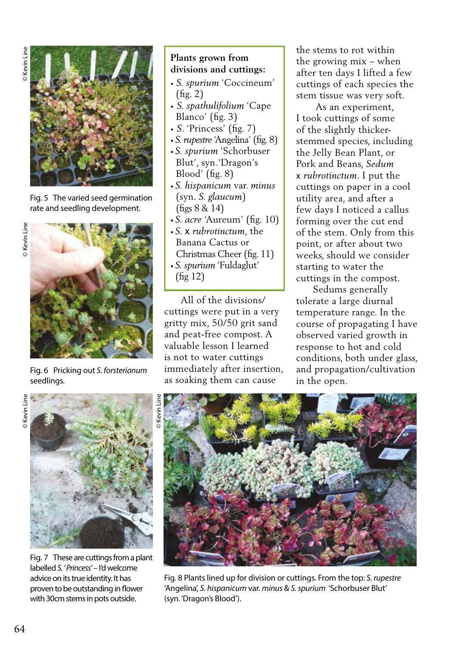

Fig. 5 The varied seed germination rate and seedling development.



Fig. 6 Pricking out *S. forsterianum*  seedlings.

## **Plants grown from divisions and cuttings:**

- *• S. spurium* 'Coccineum' (fig. 2)
- *S. spathulifolium* 'Cape Blanco' (fig. 3)
- *S*. 'Princess' (fig. 7)
- *S. rupestre* 'Angelina' (fig. 8)
- *S. spurium* 'Schorbuser Blut', syn.'Dragon's Blood' (fig. 8)
- *S. hispanicum* var. *minus*  (syn. *S. glaucum*) (figs 8 & 14)
- *S. acre* 'Aureum' (fig. 10)
- *S.* x *rubrotinctum*, the Banana Cactus or Christmas Cheer (fig. 11) *• S. spurium* 'Fuldaglut' (fig 12)

 All of the divisions/ cuttings were put in a very gritty mix, 50/50 grit sand and peat-free compost. A valuable lesson I learned is not to water cuttings immediately after insertion, as soaking them can cause

the stems to rot within the growing mix – when after ten days I lifted a few cuttings of each species the stem tissue was very soft.

 As an experiment, I took cuttings of some of the slightly thickerstemmed species, including the Jelly Bean Plant, or Pork and Beans, *Sedum* x *rubrotinctum*. I put the cuttings on paper in a cool utility area, and after a few days I noticed a callus forming over the cut end of the stem. Only from this point, or after about two weeks, should we consider starting to water the cuttings in the compost.

 Sedums generally tolerate a large diurnal temperature range. In the course of propagating I have observed varied growth in response to hot and cold conditions, both under glass, and propagation/cultivation in the open.





Fig. 7 These are cuttings from a plant labelled *S. ' Princess'* – I'd welcome advice on its true identity. It has proven to be outstanding in flower with 30cm stems in pots outside.



Fig. 8 Plants lined up for division or cuttings. From the top: *S. rupestre* 'Angelina', *S. hispanicum* var. *minus* & *S. spurium* 'Schorbuser Blut' (syn. 'Dragon's Blood').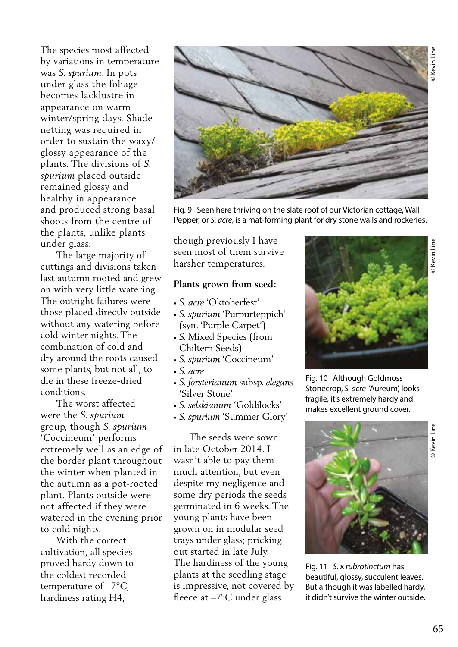The species most affected by variations in temperature was *S. spurium*. In pots under glass the foliage becomes lacklustre in appearance on warm winter/spring days. Shade netting was required in order to sustain the waxy/ glossy appearance of the plants. The divisions of *S. spurium* placed outside remained glossy and healthy in appearance and produced strong basal shoots from the centre of the plants, unlike plants under glass.

 The large majority of cuttings and divisions taken last autumn rooted and grew on with very little watering. The outright failures were those placed directly outside without any watering before cold winter nights. The combination of cold and dry around the roots caused some plants, but not all, to die in these freeze-dried conditions.

 The worst affected were the *S. spurium* group, though *S. spurium*  'Coccineum' performs extremely well as an edge of the border plant throughout the winter when planted in the autumn as a pot-rooted plant. Plants outside were not affected if they were watered in the evening prior to cold nights.

 With the correct cultivation, all species proved hardy down to the coldest recorded temperature of –7ºC, hardiness rating H4,



Fig. 9 Seen here thriving on the slate roof of our Victorian cottage, Wall Pepper, or *S. acre*, is a mat-forming plant for dry stone walls and rockeries.

though previously I have seen most of them survive harsher temperatures.

## **Plants grown from seed:**

- *• S. acre* 'Oktoberfest'
- *• S. spurium* 'Purpurteppich' (syn. 'Purple Carpet')
- *• S.* Mixed Species (from Chiltern Seeds)
- *• S. spurium* 'Coccineum'
- *• S. acre*
- *• S. forsterianum* subsp. *elegans*  'Silver Stone'
- *• S. selskianum* 'Goldilocks'
- *• S. spurium* 'Summer Glory'

 The seeds were sown in late October 2014. I wasn't able to pay them much attention, but even despite my negligence and some dry periods the seeds germinated in 6 weeks. The young plants have been grown on in modular seed trays under glass; pricking out started in late July. The hardiness of the young plants at the seedling stage is impressive, not covered by fleece at –7ºC under glass.



Fig. 10 Although Goldmoss Stonecrop, *S. acre* 'Aureum', looks fragile, it's extremely hardy and makes excellent ground cover.



Fig. 11 *S.* x *rubrotinctum* has beautiful, glossy, succulent leaves. But although it was labelled hardy, it didn't survive the winter outside.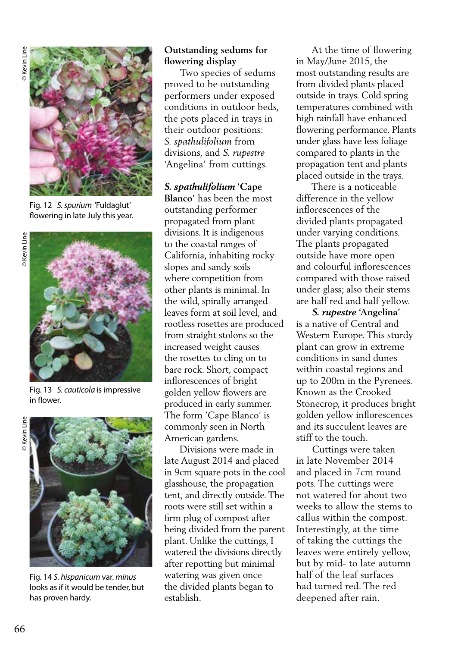

Fig. 12 *S. spurium* 'Fuldaglut' flowering in late July this year.



Fig. 13 *S. cauticola* is impressive in flower.



Fig. 14 *S. hispanicum* var. *minus*  looks as if it would be tender, but has proven hardy.

## **Outstanding sedums for flowering display**

 Two species of sedums proved to be outstanding performers under exposed conditions in outdoor beds, the pots placed in trays in their outdoor positions: *S. spathulifolium* from divisions, and *S. rupestre* 'Angelina' from cuttings.

*S. spathulifolium* **'Cape Blanco'** has been the most outstanding performer propagated from plant divisions. It is indigenous to the coastal ranges of California, inhabiting rocky slopes and sandy soils where competition from other plants is minimal. In the wild, spirally arranged leaves form at soil level, and rootless rosettes are produced from straight stolons so the increased weight causes the rosettes to cling on to bare rock. Short, compact inflorescences of bright golden yellow flowers are produced in early summer. The form 'Cape Blanco' is commonly seen in North American gardens.

 Divisions were made in late August 2014 and placed in 9cm square pots in the cool glasshouse, the propagation tent, and directly outside. The roots were still set within a firm plug of compost after being divided from the parent plant. Unlike the cuttings, I watered the divisions directly after repotting but minimal watering was given once the divided plants began to establish.

 At the time of flowering in May/June 2015, the most outstanding results are from divided plants placed outside in trays. Cold spring temperatures combined with high rainfall have enhanced flowering performance. Plants under glass have less foliage compared to plants in the propagation tent and plants placed outside in the trays.

 There is a noticeable difference in the yellow inflorescences of the divided plants propagated under varying conditions. The plants propagated outside have more open and colourful inflorescences compared with those raised under glass; also their stems are half red and half yellow.

 *S. rupestre* **'Angelina'** is a native of Central and Western Europe. This sturdy plant can grow in extreme conditions in sand dunes within coastal regions and up to 200m in the Pyrenees. Known as the Crooked Stonecrop, it produces bright golden yellow inflorescences and its succulent leaves are stiff to the touch.

 Cuttings were taken in late November 2014 and placed in 7cm round pots. The cuttings were not watered for about two weeks to allow the stems to callus within the compost. Interestingly, at the time of taking the cuttings the leaves were entirely yellow, but by mid- to late autumn half of the leaf surfaces had turned red. The red deepened after rain.